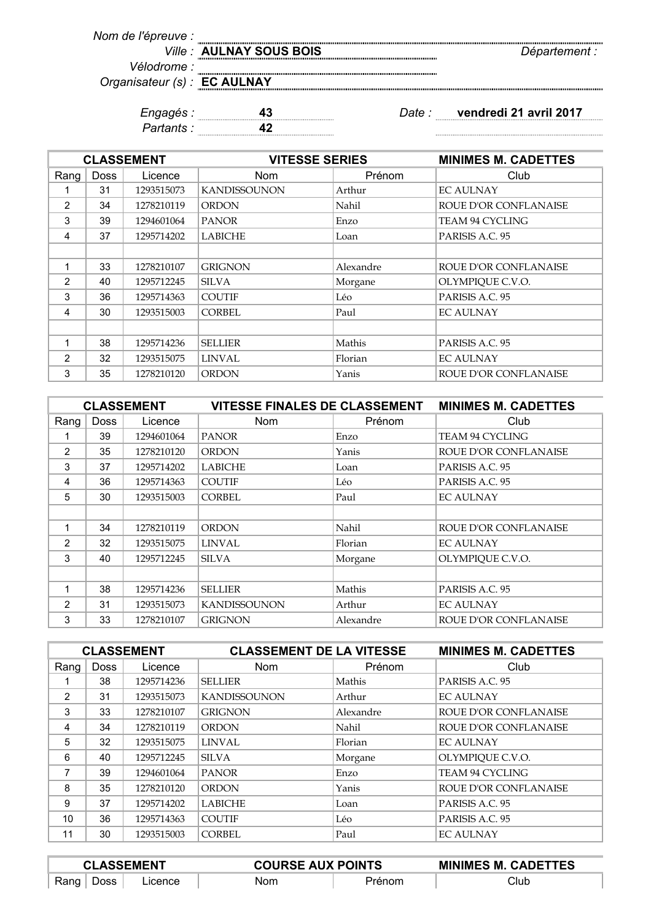| Nom de l'épreuve :           |                         |               |
|------------------------------|-------------------------|---------------|
|                              | Ville: AULNAY SOUS BOIS | Département : |
| <i>Vélodrome :</i>           |                         |               |
| Organisateur (s) : EC AULNAY |                         |               |
|                              |                         |               |
|                              |                         |               |

| . .<br>. . |       |
|------------|-------|
| . .        | .<br> |

*Engagés :* **43** *Date :* **vendredi 21 avril 2017**

 $\begin{minipage}{0.5\textwidth} \begin{tabular}{|l|l|l|} \hline & \multicolumn{1}{|l|l|} \hline & \multicolumn{1}{|l|} \multicolumn{1}{|l|} \hline \multicolumn{1}{|l|} \multicolumn{1}{|l|} \multicolumn{1}{|l|} \multicolumn{1}{|l|} \multicolumn{1}{|l|} \multicolumn{1}{|l|} \multicolumn{1}{|l|} \multicolumn{1}{|l|} \multicolumn{1}{|l|} \multicolumn{1}{|l|} \multicolumn{1}{|l|} \multicolumn{1}{|l|} \multicolumn{1}{|l|} \multic$ 

| <b>CLASSEMENT</b> |             |            |                     | <b>VITESSE SERIES</b> |                        |
|-------------------|-------------|------------|---------------------|-----------------------|------------------------|
| Rang              | <b>Doss</b> | Licence    | Nom                 | Prénom                | Club                   |
| 1                 | 31          | 1293515073 | <b>KANDISSOUNON</b> | Arthur                | <b>EC AULNAY</b>       |
| 2                 | 34          | 1278210119 | <b>ORDON</b>        | Nahil                 | ROUE D'OR CONFLANAISE  |
| 3                 | 39          | 1294601064 | <b>PANOR</b>        | Enzo                  | <b>TEAM 94 CYCLING</b> |
| 4                 | 37          | 1295714202 | <b>LABICHE</b>      | Loan                  | PARISIS A.C. 95        |
|                   |             |            |                     |                       |                        |
| 1                 | 33          | 1278210107 | <b>GRIGNON</b>      | Alexandre             | ROUE D'OR CONFLANAISE  |
| $\mathcal{P}$     | 40          | 1295712245 | <b>SILVA</b>        | Morgane               | OLYMPIQUE C.V.O.       |
| 3                 | 36          | 1295714363 | <b>COUTIF</b>       | Léo                   | PARISIS A.C. 95        |
| 4                 | 30          | 1293515003 | <b>CORBEL</b>       | Paul                  | <b>EC AULNAY</b>       |
|                   |             |            |                     |                       |                        |
| 1                 | 38          | 1295714236 | <b>SELLIER</b>      | Mathis                | PARISIS A.C. 95        |
| $\mathcal{P}$     | 32          | 1293515075 | LINVAL              | Florian               | <b>EC AULNAY</b>       |
| 3                 | 35          | 1278210120 | <b>ORDON</b>        | Yanis                 | ROUE D'OR CONFLANAISE  |

| <b>CLASSEMENT</b> |             |            | <b>VITESSE FINALES DE CLASSEMENT</b> |           | <b>MINIMES M. CADETTES</b>   |
|-------------------|-------------|------------|--------------------------------------|-----------|------------------------------|
| Rang              | <b>Doss</b> | Licence    | Nom                                  | Prénom    | Club                         |
| 1                 | 39          | 1294601064 | <b>PANOR</b>                         | Enzo      | <b>TEAM 94 CYCLING</b>       |
| 2                 | 35          | 1278210120 | <b>ORDON</b>                         | Yanis     | ROUE D'OR CONFLANAISE        |
| 3                 | 37          | 1295714202 | <b>LABICHE</b>                       | Loan      | PARISIS A.C. 95              |
| 4                 | 36          | 1295714363 | <b>COUTIF</b>                        | Léo       | PARISIS A.C. 95              |
| 5                 | 30          | 1293515003 | <b>CORBEL</b>                        | Paul      | <b>EC AULNAY</b>             |
|                   |             |            |                                      |           |                              |
| 1                 | 34          | 1278210119 | <b>ORDON</b>                         | Nahil     | ROUE D'OR CONFLANAISE        |
| $\mathcal{P}$     | 32          | 1293515075 | <b>LINVAL</b>                        | Florian   | <b>EC AULNAY</b>             |
| 3                 | 40          | 1295712245 | <b>SILVA</b>                         | Morgane   | OLYMPIQUE C.V.O.             |
|                   |             |            |                                      |           |                              |
| 1                 | 38          | 1295714236 | <b>SELLIER</b>                       | Mathis    | PARISIS A.C. 95              |
| $\mathcal{P}$     | 31          | 1293515073 | <b>KANDISSOUNON</b>                  | Arthur    | <b>EC AULNAY</b>             |
| 3                 | 33          | 1278210107 | <b>GRIGNON</b>                       | Alexandre | <b>ROUE D'OR CONFLANAISE</b> |

| <b>CLASSEMENT</b> |             | <b>CLASSEMENT DE LA VITESSE</b> |                     | <b>MINIMES M. CADETTES</b> |                              |
|-------------------|-------------|---------------------------------|---------------------|----------------------------|------------------------------|
| Rang              | <b>Doss</b> | Licence                         | <b>Nom</b>          | Prénom                     | Club                         |
|                   | 38          | 1295714236                      | <b>SELLIER</b>      | Mathis                     | PARISIS A.C. 95              |
| $\mathcal{P}$     | 31          | 1293515073                      | <b>KANDISSOUNON</b> | Arthur                     | <b>EC AULNAY</b>             |
| 3                 | 33          | 1278210107                      | <b>GRIGNON</b>      | Alexandre                  | <b>ROUE D'OR CONFLANAISE</b> |
| 4                 | 34          | 1278210119                      | <b>ORDON</b>        | Nahil                      | <b>ROUE D'OR CONFLANAISE</b> |
| 5                 | 32          | 1293515075                      | LINVAL              | Florian                    | <b>EC AULNAY</b>             |
| 6                 | 40          | 1295712245                      | <b>SILVA</b>        | Morgane                    | OLYMPIQUE C.V.O.             |
| 7                 | 39          | 1294601064                      | <b>PANOR</b>        | Enzo                       | TEAM 94 CYCLING              |
| 8                 | 35          | 1278210120                      | <b>ORDON</b>        | Yanis                      | <b>ROUE D'OR CONFLANAISE</b> |
| 9                 | 37          | 1295714202                      | <b>LABICHE</b>      | Loan                       | PARISIS A.C. 95              |
| 10                | 36          | 1295714363                      | <b>COUTIF</b>       | Léo                        | PARISIS A.C. 95              |
| 11                | 30          | 1293515003                      | <b>CORBEL</b>       | Paul                       | <b>EC AULNAY</b>             |

| <b>CLASSEMENT</b> |         | <b>COURSE AUX POINTS</b> | <b>MINIMES M. CADETTES</b> |
|-------------------|---------|--------------------------|----------------------------|
| Rang<br>Doss      | ∟icence | Nom                      | Club                       |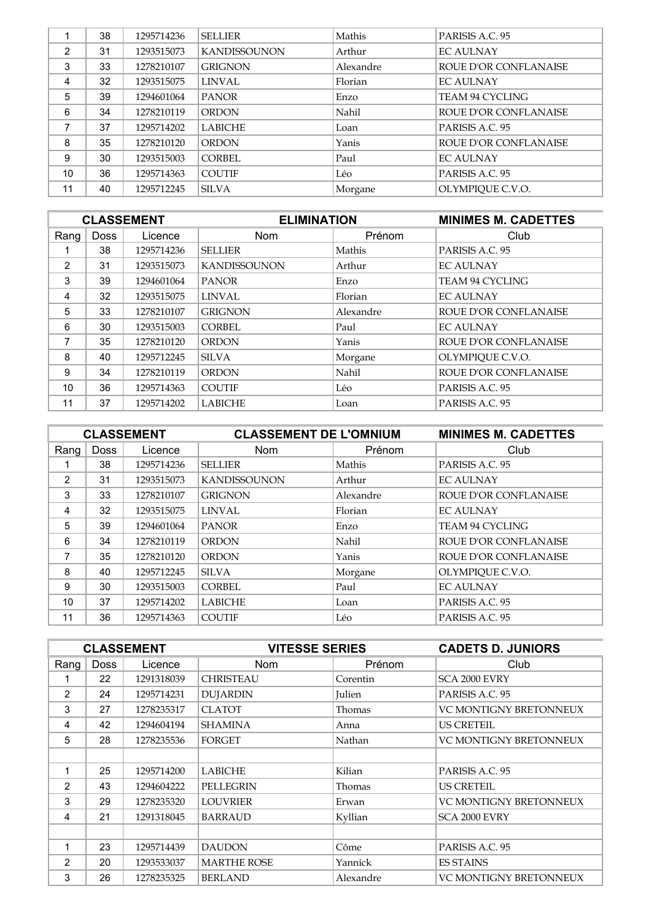|               | 38 | 1295714236 | <b>SELLIER</b>      | Mathis    | PARISIS A.C. 95       |
|---------------|----|------------|---------------------|-----------|-----------------------|
| $\mathcal{P}$ | 31 | 1293515073 | <b>KANDISSOUNON</b> | Arthur    | <b>EC AULNAY</b>      |
| 3             | 33 | 1278210107 | <b>GRIGNON</b>      | Alexandre | ROUE D'OR CONFLANAISE |
| 4             | 32 | 1293515075 | <b>LINVAL</b>       | Florian   | <b>EC AULNAY</b>      |
| 5             | 39 | 1294601064 | <b>PANOR</b>        | Enzo      | TEAM 94 CYCLING       |
| 6             | 34 | 1278210119 | <b>ORDON</b>        | Nahil     | ROUE D'OR CONFLANAISE |
| 7             | 37 | 1295714202 | <b>LABICHE</b>      | Loan      | PARISIS A.C. 95       |
| 8             | 35 | 1278210120 | <b>ORDON</b>        | Yanis     | ROUE D'OR CONFLANAISE |
| 9             | 30 | 1293515003 | CORBEL              | Paul      | <b>EC AULNAY</b>      |
| 10            | 36 | 1295714363 | <b>COUTIF</b>       | Léo       | PARISIS A.C. 95       |
| 11            | 40 | 1295712245 | <b>SILVA</b>        | Morgane   | OLYMPIOUE C.V.O.      |

| <b>CLASSEMENT</b> |             |            | <b>ELIMINATION</b>  |           | <b>MINIMES M. CADETTES</b>   |
|-------------------|-------------|------------|---------------------|-----------|------------------------------|
| Rang              | <b>Doss</b> | Licence    | <b>Nom</b>          | Prénom    | Club                         |
|                   | 38          | 1295714236 | <b>SELLIER</b>      | Mathis    | PARISIS A.C. 95              |
| 2                 | 31          | 1293515073 | <b>KANDISSOUNON</b> | Arthur    | <b>EC AULNAY</b>             |
| 3                 | 39          | 1294601064 | <b>PANOR</b>        | Enzo      | <b>TEAM 94 CYCLING</b>       |
| 4                 | 32          | 1293515075 | LINVAL              | Florian   | <b>EC AULNAY</b>             |
| 5                 | 33          | 1278210107 | <b>GRIGNON</b>      | Alexandre | <b>ROUE D'OR CONFLANAISE</b> |
| 6                 | 30          | 1293515003 | CORBEL              | Paul      | <b>EC AULNAY</b>             |
| 7                 | 35          | 1278210120 | <b>ORDON</b>        | Yanis     | ROUE D'OR CONFLANAISE        |
| 8                 | 40          | 1295712245 | <b>SILVA</b>        | Morgane   | OLYMPIQUE C.V.O.             |
| 9                 | 34          | 1278210119 | <b>ORDON</b>        | Nahil     | <b>ROUE D'OR CONFLANAISE</b> |
| 10                | 36          | 1295714363 | <b>COUTIF</b>       | Léo       | PARISIS A.C. 95              |
| 11                | 37          | 1295714202 | <b>LABICHE</b>      | Loan      | PARISIS A.C. 95              |

| <b>CLASSEMENT</b> |             | <b>CLASSEMENT DE L'OMNIUM</b> |                     | <b>MINIMES M. CADETTES</b> |                              |
|-------------------|-------------|-------------------------------|---------------------|----------------------------|------------------------------|
| Rang              | <b>Doss</b> | Licence                       | <b>Nom</b>          | Prénom                     | Club                         |
|                   | 38          | 1295714236                    | <b>SELLIER</b>      | Mathis                     | PARISIS A.C. 95              |
| 2                 | 31          | 1293515073                    | <b>KANDISSOUNON</b> | Arthur                     | <b>EC AULNAY</b>             |
| 3                 | 33          | 1278210107                    | <b>GRIGNON</b>      | Alexandre                  | <b>ROUE D'OR CONFLANAISE</b> |
| 4                 | 32          | 1293515075                    | LINVAL              | Florian                    | <b>EC AULNAY</b>             |
| 5                 | 39          | 1294601064                    | <b>PANOR</b>        | Enzo                       | TEAM 94 CYCLING              |
| 6                 | 34          | 1278210119                    | <b>ORDON</b>        | Nahil                      | ROUE D'OR CONFLANAISE        |
| 7                 | 35          | 1278210120                    | <b>ORDON</b>        | Yanis                      | <b>ROUE D'OR CONFLANAISE</b> |
| 8                 | 40          | 1295712245                    | SILVA               | Morgane                    | OLYMPIQUE C.V.O.             |
| 9                 | 30          | 1293515003                    | CORBEL              | Paul                       | <b>EC AULNAY</b>             |
| 10                | 37          | 1295714202                    | <b>LABICHE</b>      | Loan                       | PARISIS A.C. 95              |
| 11                | 36          | 1295714363                    | <b>COUTIF</b>       | Léo                        | PARISIS A.C. 95              |

| <b>CLASSEMENT</b> |             |            | <b>VITESSE SERIES</b> |           | <b>CADETS D. JUNIORS</b>      |
|-------------------|-------------|------------|-----------------------|-----------|-------------------------------|
| Rang              | <b>Doss</b> | Licence    | <b>Nom</b>            | Prénom    | Club                          |
|                   | 22          | 1291318039 | <b>CHRISTEAU</b>      | Corentin  | SCA 2000 EVRY                 |
| $\overline{2}$    | 24          | 1295714231 | <b>DUJARDIN</b>       | Julien    | PARISIS A.C. 95               |
| 3                 | 27          | 1278235317 | <b>CLATOT</b>         | Thomas    | <b>VC MONTIGNY BRETONNEUX</b> |
| 4                 | 42          | 1294604194 | <b>SHAMINA</b>        | Anna      | <b>US CRETEIL</b>             |
| 5                 | 28          | 1278235536 | <b>FORGET</b>         | Nathan    | <b>VC MONTIGNY BRETONNEUX</b> |
|                   |             |            |                       |           |                               |
| 1                 | 25          | 1295714200 | <b>LABICHE</b>        | Kilian    | PARISIS A.C. 95               |
| $\mathcal{P}$     | 43          | 1294604222 | <b>PELLEGRIN</b>      | Thomas    | <b>US CRETEIL</b>             |
| 3                 | 29          | 1278235320 | <b>LOUVRIER</b>       | Erwan     | <b>VC MONTIGNY BRETONNEUX</b> |
| 4                 | 21          | 1291318045 | <b>BARRAUD</b>        | Kyllian   | SCA 2000 EVRY                 |
|                   |             |            |                       |           |                               |
| 1                 | 23          | 1295714439 | <b>DAUDON</b>         | Côme      | PARISIS A.C. 95               |
| $\mathcal{P}$     | 20          | 1293533037 | <b>MARTHE ROSE</b>    | Yannick   | <b>ES STAINS</b>              |
| 3                 | 26          | 1278235325 | <b>BERLAND</b>        | Alexandre | <b>VC MONTIGNY BRETONNEUX</b> |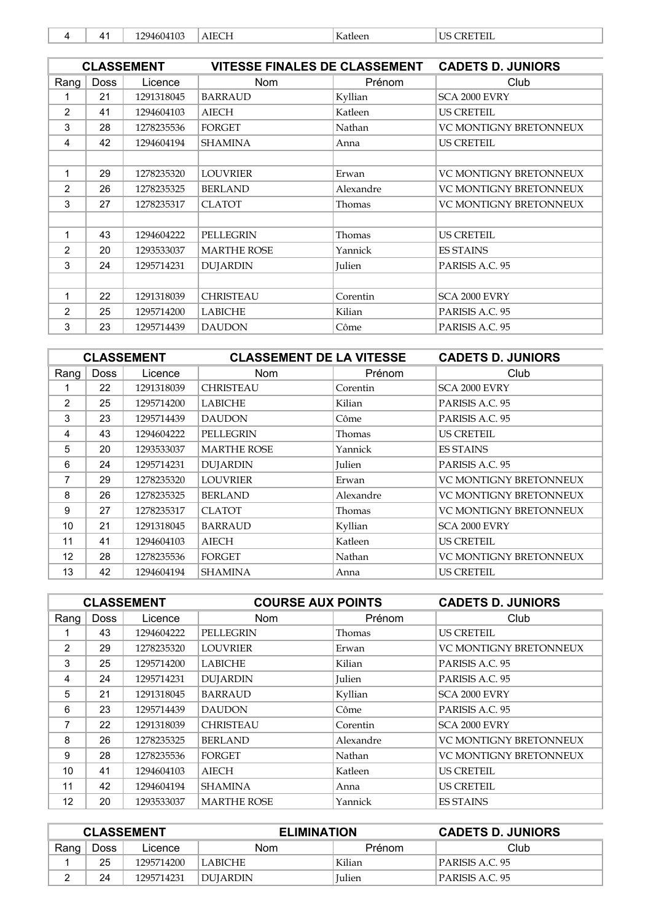|  | ,, | 1 በ1<br>2946<br>114،<br>. | $\sqrt{1 + \tau}$ | T<br>. Katleer | $-1$ and $-1$<br>тс<br>. |
|--|----|---------------------------|-------------------|----------------|--------------------------|
|--|----|---------------------------|-------------------|----------------|--------------------------|

|               |             | <b>CLASSEMENT</b> | <b>VITESSE FINALES DE CLASSEMENT</b> |               | <b>CADETS D. JUNIORS</b>      |
|---------------|-------------|-------------------|--------------------------------------|---------------|-------------------------------|
| Rang          | <b>Doss</b> | Licence           | <b>Nom</b>                           | Prénom        | Club                          |
| 1             | 21          | 1291318045        | <b>BARRAUD</b>                       | Kyllian       | SCA 2000 EVRY                 |
| 2             | 41          | 1294604103        | <b>AIECH</b>                         | Katleen       | <b>US CRETEIL</b>             |
| 3             | 28          | 1278235536        | <b>FORGET</b>                        | Nathan        | VC MONTIGNY BRETONNEUX        |
| 4             | 42          | 1294604194        | <b>SHAMINA</b>                       | Anna          | <b>US CRETEIL</b>             |
|               |             |                   |                                      |               |                               |
| 1             | 29          | 1278235320        | <b>LOUVRIER</b>                      | Erwan         | VC MONTIGNY BRETONNEUX        |
| $\mathcal{P}$ | 26          | 1278235325        | <b>BERLAND</b>                       | Alexandre     | <b>VC MONTIGNY BRETONNEUX</b> |
| 3             | 27          | 1278235317        | <b>CLATOT</b>                        | Thomas        | <b>VC MONTIGNY BRETONNEUX</b> |
|               |             |                   |                                      |               |                               |
| 1             | 43          | 1294604222        | <b>PELLEGRIN</b>                     | Thomas        | <b>US CRETEIL</b>             |
| $\mathcal{P}$ | 20          | 1293533037        | <b>MARTHE ROSE</b>                   | Yannick       | <b>ES STAINS</b>              |
| 3             | 24          | 1295714231        | <b>DUJARDIN</b>                      | <b>Julien</b> | PARISIS A.C. 95               |
|               |             |                   |                                      |               |                               |
| 1             | 22          | 1291318039        | <b>CHRISTEAU</b>                     | Corentin      | SCA 2000 EVRY                 |
| 2             | 25          | 1295714200        | <b>LABICHE</b>                       | Kilian        | PARISIS A.C. 95               |
| 3             | 23          | 1295714439        | <b>DAUDON</b>                        | Côme          | PARISIS A.C. 95               |

| <b>CLASSEMENT</b> |             |            | <b>CLASSEMENT DE LA VITESSE</b> |           | <b>CADETS D. JUNIORS</b>      |
|-------------------|-------------|------------|---------------------------------|-----------|-------------------------------|
| Rang              | <b>Doss</b> | Licence    | Nom                             | Prénom    | Club                          |
| 1                 | 22          | 1291318039 | <b>CHRISTEAU</b>                | Corentin  | SCA 2000 EVRY                 |
| 2                 | 25          | 1295714200 | <b>LABICHE</b>                  | Kilian    | PARISIS A.C. 95               |
| 3                 | 23          | 1295714439 | <b>DAUDON</b>                   | Côme      | PARISIS A.C. 95               |
| 4                 | 43          | 1294604222 | <b>PELLEGRIN</b>                | Thomas    | <b>US CRETEIL</b>             |
| 5                 | 20          | 1293533037 | <b>MARTHE ROSE</b>              | Yannick   | <b>ES STAINS</b>              |
| 6                 | 24          | 1295714231 | <b>DUJARDIN</b>                 | Julien    | PARISIS A.C. 95               |
| 7                 | 29          | 1278235320 | <b>LOUVRIER</b>                 | Erwan     | VC MONTIGNY BRETONNEUX        |
| 8                 | 26          | 1278235325 | <b>BERLAND</b>                  | Alexandre | <b>VC MONTIGNY BRETONNEUX</b> |
| 9                 | 27          | 1278235317 | <b>CLATOT</b>                   | Thomas    | <b>VC MONTIGNY BRETONNEUX</b> |
| 10                | 21          | 1291318045 | <b>BARRAUD</b>                  | Kyllian   | SCA 2000 EVRY                 |
| 11                | 41          | 1294604103 | <b>AIECH</b>                    | Katleen   | <b>US CRETEIL</b>             |
| 12                | 28          | 1278235536 | <b>FORGET</b>                   | Nathan    | <b>VC MONTIGNY BRETONNEUX</b> |
| 13                | 42          | 1294604194 | <b>SHAMINA</b>                  | Anna      | <b>US CRETEIL</b>             |

| <b>CLASSEMENT</b> |             |            |                    | <b>COURSE AUX POINTS</b> |                               |
|-------------------|-------------|------------|--------------------|--------------------------|-------------------------------|
| Rang              | <b>Doss</b> | Licence    | <b>Nom</b>         | Prénom                   | Club                          |
|                   | 43          | 1294604222 | PELLEGRIN          | Thomas                   | <b>US CRETEIL</b>             |
| 2                 | 29          | 1278235320 | <b>LOUVRIER</b>    | Erwan                    | <b>VC MONTIGNY BRETONNEUX</b> |
| 3                 | 25          | 1295714200 | <b>LABICHE</b>     | Kilian                   | PARISIS A.C. 95               |
| 4                 | 24          | 1295714231 | <b>DUJARDIN</b>    | Julien                   | PARISIS A.C. 95               |
| 5                 | 21          | 1291318045 | <b>BARRAUD</b>     | Kyllian                  | SCA 2000 EVRY                 |
| 6                 | 23          | 1295714439 | <b>DAUDON</b>      | Côme                     | PARISIS A.C. 95               |
| 7                 | 22          | 1291318039 | <b>CHRISTEAU</b>   | Corentin                 | SCA 2000 EVRY                 |
| 8                 | 26          | 1278235325 | <b>BERLAND</b>     | Alexandre                | <b>VC MONTIGNY BRETONNEUX</b> |
| 9                 | 28          | 1278235536 | <b>FORGET</b>      | Nathan                   | <b>VC MONTIGNY BRETONNEUX</b> |
| 10                | 41          | 1294604103 | <b>AIECH</b>       | Katleen                  | <b>US CRETEIL</b>             |
| 11                | 42          | 1294604194 | <b>SHAMINA</b>     | Anna                     | <b>US CRETEIL</b>             |
| 12                | 20          | 1293533037 | <b>MARTHE ROSE</b> | Yannick                  | <b>ES STAINS</b>              |

| <b>CLASSEMENT</b> |             |            | <b>ELIMINATION</b> |               | <b>CADETS D. JUNIORS</b> |
|-------------------|-------------|------------|--------------------|---------------|--------------------------|
| Rang              | <b>Doss</b> | Licence    | Nom                | Prénom        | Club                     |
|                   | 25          | 1295714200 | LLABICHE           | Kilian        | PARISIS A.C. 95          |
|                   | 24          | 1295714231 | DUIARDIN           | <b>Iulien</b> | PARISIS A.C. 95          |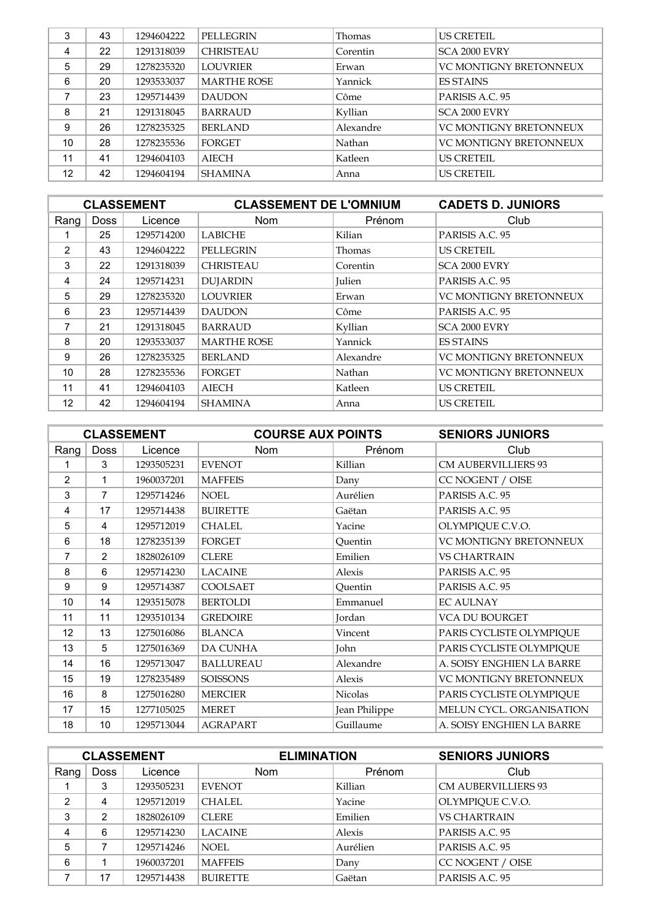| 3  | 43 | 1294604222 | <b>PELLEGRIN</b>   | Thomas    | <b>US CRETEIL</b>             |
|----|----|------------|--------------------|-----------|-------------------------------|
| 4  | 22 | 1291318039 | <b>CHRISTEAU</b>   | Corentin  | SCA 2000 EVRY                 |
| 5  | 29 | 1278235320 | <b>LOUVRIER</b>    | Erwan     | <b>VC MONTIGNY BRETONNEUX</b> |
| 6  | 20 | 1293533037 | <b>MARTHE ROSE</b> | Yannick   | <b>ES STAINS</b>              |
|    | 23 | 1295714439 | <b>DAUDON</b>      | Côme      | PARISIS A.C. 95               |
| 8  | 21 | 1291318045 | <b>BARRAUD</b>     | Kyllian   | SCA 2000 EVRY                 |
| 9  | 26 | 1278235325 | <b>BERLAND</b>     | Alexandre | <b>VC MONTIGNY BRETONNEUX</b> |
| 10 | 28 | 1278235536 | <b>FORGET</b>      | Nathan    | <b>VC MONTIGNY BRETONNEUX</b> |
| 11 | 41 | 1294604103 | <b>AIECH</b>       | Katleen   | <b>US CRETEIL</b>             |
| 12 | 42 | 1294604194 | <b>SHAMINA</b>     | Anna      | <b>US CRETEIL</b>             |

| <b>CLASSEMENT</b> |             |            | <b>CLASSEMENT DE L'OMNIUM</b> |           | <b>CADETS D. JUNIORS</b>      |
|-------------------|-------------|------------|-------------------------------|-----------|-------------------------------|
| Rang              | <b>Doss</b> | Licence    | <b>Nom</b>                    | Prénom    | Club                          |
|                   | 25          | 1295714200 | <b>LABICHE</b>                | Kilian    | PARISIS A.C. 95               |
| $\mathcal{P}$     | 43          | 1294604222 | <b>PELLEGRIN</b>              | Thomas    | <b>US CRETEIL</b>             |
| 3                 | 22          | 1291318039 | <b>CHRISTEAU</b>              | Corentin  | SCA 2000 EVRY                 |
| 4                 | 24          | 1295714231 | <b>DUJARDIN</b>               | Julien    | PARISIS A.C. 95               |
| 5                 | 29          | 1278235320 | <b>LOUVRIER</b>               | Erwan     | <b>VC MONTIGNY BRETONNEUX</b> |
| 6                 | 23          | 1295714439 | <b>DAUDON</b>                 | Côme      | PARISIS A.C. 95               |
| 7                 | 21          | 1291318045 | <b>BARRAUD</b>                | Kyllian   | SCA 2000 EVRY                 |
| 8                 | 20          | 1293533037 | <b>MARTHE ROSE</b>            | Yannick   | <b>ES STAINS</b>              |
| 9                 | 26          | 1278235325 | <b>BERLAND</b>                | Alexandre | <b>VC MONTIGNY BRETONNEUX</b> |
| 10                | 28          | 1278235536 | FORGET                        | Nathan    | <b>VC MONTIGNY BRETONNEUX</b> |
| 11                | 41          | 1294604103 | <b>AIECH</b>                  | Katleen   | <b>US CRETEIL</b>             |
| 12                | 42          | 1294604194 | <b>SHAMINA</b>                | Anna      | <b>US CRETEIL</b>             |

| <b>CLASSEMENT</b> |             | <b>COURSE AUX POINTS</b> |                  | <b>SENIORS JUNIORS</b> |                            |
|-------------------|-------------|--------------------------|------------------|------------------------|----------------------------|
| Rang              | <b>Doss</b> | Licence                  | <b>Nom</b>       | Prénom                 | Club                       |
| 1                 | 3           | 1293505231               | <b>EVENOT</b>    | Killian                | <b>CM AUBERVILLIERS 93</b> |
| 2                 | 1           | 1960037201               | <b>MAFFEIS</b>   | Dany                   | CC NOGENT / OISE           |
| 3                 | 7           | 1295714246               | <b>NOEL</b>      | Aurélien               | PARISIS A.C. 95            |
| 4                 | 17          | 1295714438               | <b>BUIRETTE</b>  | Gaëtan                 | PARISIS A.C. 95            |
| 5                 | 4           | 1295712019               | <b>CHALEL</b>    | Yacine                 | OLYMPIQUE C.V.O.           |
| 6                 | 18          | 1278235139               | <b>FORGET</b>    | Quentin                | VC MONTIGNY BRETONNEUX     |
| 7                 | 2           | 1828026109               | <b>CLERE</b>     | Emilien                | <b>VS CHARTRAIN</b>        |
| 8                 | 6           | 1295714230               | <b>LACAINE</b>   | Alexis                 | PARISIS A.C. 95            |
| 9                 | 9           | 1295714387               | COOLSAET         | Quentin                | PARISIS A.C. 95            |
| 10                | 14          | 1293515078               | <b>BERTOLDI</b>  | Emmanuel               | <b>EC AULNAY</b>           |
| 11                | 11          | 1293510134               | <b>GREDOIRE</b>  | Jordan                 | VCA DU BOURGET             |
| 12                | 13          | 1275016086               | <b>BLANCA</b>    | Vincent                | PARIS CYCLISTE OLYMPIQUE   |
| 13                | 5           | 1275016369               | <b>DA CUNHA</b>  | John                   | PARIS CYCLISTE OLYMPIQUE   |
| 14                | 16          | 1295713047               | <b>BALLUREAU</b> | Alexandre              | A. SOISY ENGHIEN LA BARRE  |
| 15                | 19          | 1278235489               | <b>SOISSONS</b>  | Alexis                 | VC MONTIGNY BRETONNEUX     |
| 16                | 8           | 1275016280               | <b>MERCIER</b>   | Nicolas                | PARIS CYCLISTE OLYMPIQUE   |
| 17                | 15          | 1277105025               | <b>MERET</b>     | Jean Philippe          | MELUN CYCL. ORGANISATION   |
| 18                | 10          | 1295713044               | <b>AGRAPART</b>  | Guillaume              | A. SOISY ENGHIEN LA BARRE  |

| <b>CLASSEMENT</b> |                |            | <b>ELIMINATION</b> |          | <b>SENIORS JUNIORS</b>     |
|-------------------|----------------|------------|--------------------|----------|----------------------------|
| Rang              | <b>Doss</b>    | Licence    | <b>Nom</b>         | Prénom   | Club                       |
|                   | 3              | 1293505231 | <b>EVENOT</b>      | Killian  | <b>CM AUBERVILLIERS 93</b> |
| 2                 | 4              | 1295712019 | <b>CHALEL</b>      | Yacine   | OLYMPIQUE C.V.O.           |
| 3                 | $\overline{2}$ | 1828026109 | <b>CLERE</b>       | Emilien  | <b>VS CHARTRAIN</b>        |
| 4                 | 6              | 1295714230 | <b>LACAINE</b>     | Alexis   | PARISIS A.C. 95            |
| 5                 |                | 1295714246 | NOEL.              | Aurélien | PARISIS A.C. 95            |
| 6                 |                | 1960037201 | <b>MAFFEIS</b>     | Dany     | CC NOGENT / OISE           |
| ⇁                 | 17             | 1295714438 | <b>BUIRETTE</b>    | Gaëtan   | PARISIS A.C. 95            |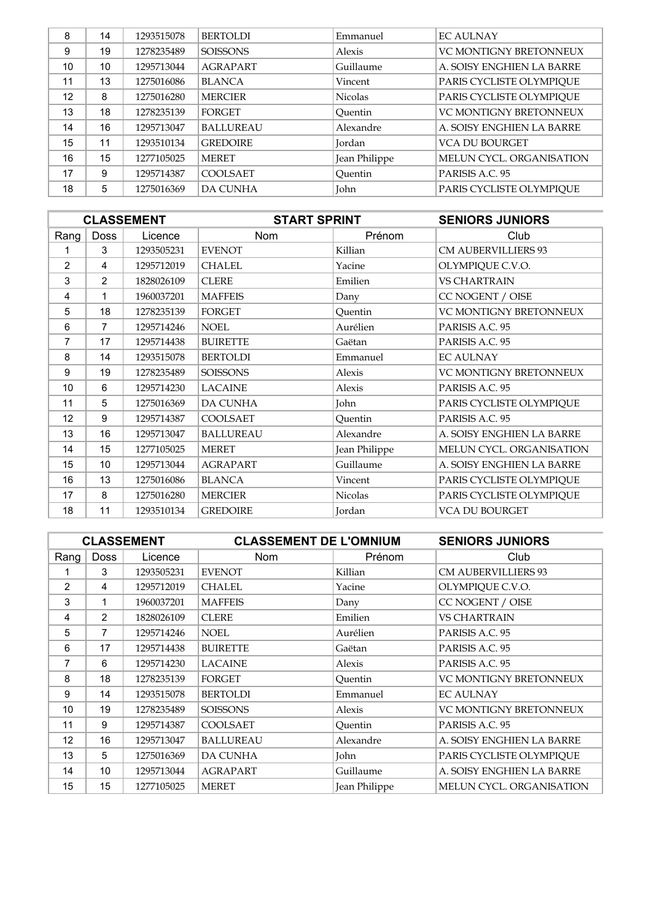| 8  | 14 | 1293515078 | <b>BERTOLDI</b>  | Emmanuel       | <b>EC AULNAY</b>              |
|----|----|------------|------------------|----------------|-------------------------------|
| 9  | 19 | 1278235489 | <b>SOISSONS</b>  | Alexis         | <b>VC MONTIGNY BRETONNEUX</b> |
| 10 | 10 | 1295713044 | <b>AGRAPART</b>  | Guillaume      | A. SOISY ENGHIEN LA BARRE     |
| 11 | 13 | 1275016086 | <b>BLANCA</b>    | Vincent        | PARIS CYCLISTE OLYMPIQUE      |
| 12 | 8  | 1275016280 | <b>MERCIER</b>   | <b>Nicolas</b> | PARIS CYCLISTE OLYMPIQUE      |
| 13 | 18 | 1278235139 | <b>FORGET</b>    | Ouentin        | <b>VC MONTIGNY BRETONNEUX</b> |
| 14 | 16 | 1295713047 | <b>BALLUREAU</b> | Alexandre      | A. SOISY ENGHIEN LA BARRE     |
| 15 | 11 | 1293510134 | <b>GREDOIRE</b>  | Jordan         | <b>VCA DU BOURGET</b>         |
| 16 | 15 | 1277105025 | <b>MERET</b>     | Jean Philippe  | MELUN CYCL. ORGANISATION      |
| 17 | 9  | 1295714387 | <b>COOLSAET</b>  | Ouentin        | PARISIS A.C. 95               |
| 18 | 5  | 1275016369 | <b>DA CUNHA</b>  | John           | PARIS CYCLISTE OLYMPIQUE      |

| <b>CLASSEMENT</b> |                |            | <b>START SPRINT</b> |               | <b>SENIORS JUNIORS</b>     |
|-------------------|----------------|------------|---------------------|---------------|----------------------------|
| Rang              | <b>Doss</b>    | Licence    | <b>Nom</b>          | Prénom        | Club                       |
|                   | 3              | 1293505231 | <b>EVENOT</b>       | Killian       | <b>CM AUBERVILLIERS 93</b> |
| $\overline{2}$    | 4              | 1295712019 | <b>CHALEL</b>       | Yacine        | OLYMPIQUE C.V.O.           |
| 3                 | 2              | 1828026109 | <b>CLERE</b>        | Emilien       | <b>VS CHARTRAIN</b>        |
| 4                 | 1              | 1960037201 | <b>MAFFEIS</b>      | Dany          | CC NOGENT / OISE           |
| 5                 | 18             | 1278235139 | <b>FORGET</b>       | Quentin       | VC MONTIGNY BRETONNEUX     |
| 6                 | $\overline{7}$ | 1295714246 | <b>NOEL</b>         | Aurélien      | PARISIS A.C. 95            |
| 7                 | 17             | 1295714438 | <b>BUIRETTE</b>     | Gaëtan        | PARISIS A.C. 95            |
| 8                 | 14             | 1293515078 | <b>BERTOLDI</b>     | Emmanuel      | <b>EC AULNAY</b>           |
| 9                 | 19             | 1278235489 | <b>SOISSONS</b>     | Alexis        | VC MONTIGNY BRETONNEUX     |
| 10                | 6              | 1295714230 | <b>LACAINE</b>      | Alexis        | PARISIS A.C. 95            |
| 11                | 5              | 1275016369 | <b>DA CUNHA</b>     | John          | PARIS CYCLISTE OLYMPIQUE   |
| 12                | 9              | 1295714387 | COOLSAET            | Quentin       | PARISIS A.C. 95            |
| 13                | 16             | 1295713047 | <b>BALLUREAU</b>    | Alexandre     | A. SOISY ENGHIEN LA BARRE  |
| 14                | 15             | 1277105025 | <b>MERET</b>        | Jean Philippe | MELUN CYCL. ORGANISATION   |
| 15                | 10             | 1295713044 | <b>AGRAPART</b>     | Guillaume     | A. SOISY ENGHIEN LA BARRE  |
| 16                | 13             | 1275016086 | <b>BLANCA</b>       | Vincent       | PARIS CYCLISTE OLYMPIQUE   |
| 17                | 8              | 1275016280 | <b>MERCIER</b>      | Nicolas       | PARIS CYCLISTE OLYMPIQUE   |
| 18                | 11             | 1293510134 | <b>GREDOIRE</b>     | Jordan        | VCA DU BOURGET             |

| <b>CLASSEMENT</b> |                |            | <b>CLASSEMENT DE L'OMNIUM</b> |               | <b>SENIORS JUNIORS</b>     |
|-------------------|----------------|------------|-------------------------------|---------------|----------------------------|
| Rang              | <b>Doss</b>    | Licence    | Nom                           | Prénom        | Club                       |
| 1.                | 3              | 1293505231 | <b>EVENOT</b>                 | Killian       | <b>CM AUBERVILLIERS 93</b> |
| 2                 | 4              | 1295712019 | <b>CHALEL</b>                 | Yacine        | OLYMPIQUE C.V.O.           |
| 3                 | 1              | 1960037201 | <b>MAFFEIS</b>                | Dany          | CC NOGENT / OISE           |
| 4                 | 2              | 1828026109 | <b>CLERE</b>                  | Emilien       | <b>VS CHARTRAIN</b>        |
| 5                 | $\overline{7}$ | 1295714246 | <b>NOEL</b>                   | Aurélien      | PARISIS A.C. 95            |
| 6                 | 17             | 1295714438 | <b>BUIRETTE</b>               | Gaëtan        | PARISIS A.C. 95            |
| 7                 | 6              | 1295714230 | <b>LACAINE</b>                | Alexis        | PARISIS A.C. 95            |
| 8                 | 18             | 1278235139 | <b>FORGET</b>                 | Ouentin       | VC MONTIGNY BRETONNEUX     |
| 9                 | 14             | 1293515078 | <b>BERTOLDI</b>               | Emmanuel      | <b>EC AULNAY</b>           |
| 10                | 19             | 1278235489 | <b>SOISSONS</b>               | Alexis        | VC MONTIGNY BRETONNEUX     |
| 11                | 9              | 1295714387 | <b>COOLSAET</b>               | Ouentin       | PARISIS A.C. 95            |
| 12                | 16             | 1295713047 | <b>BALLUREAU</b>              | Alexandre     | A. SOISY ENGHIEN LA BARRE  |
| 13                | 5              | 1275016369 | <b>DA CUNHA</b>               | John          | PARIS CYCLISTE OLYMPIOUE   |
| 14                | 10             | 1295713044 | <b>AGRAPART</b>               | Guillaume     | A. SOISY ENGHIEN LA BARRE  |
| 15                | 15             | 1277105025 | <b>MERET</b>                  | Jean Philippe | MELUN CYCL. ORGANISATION   |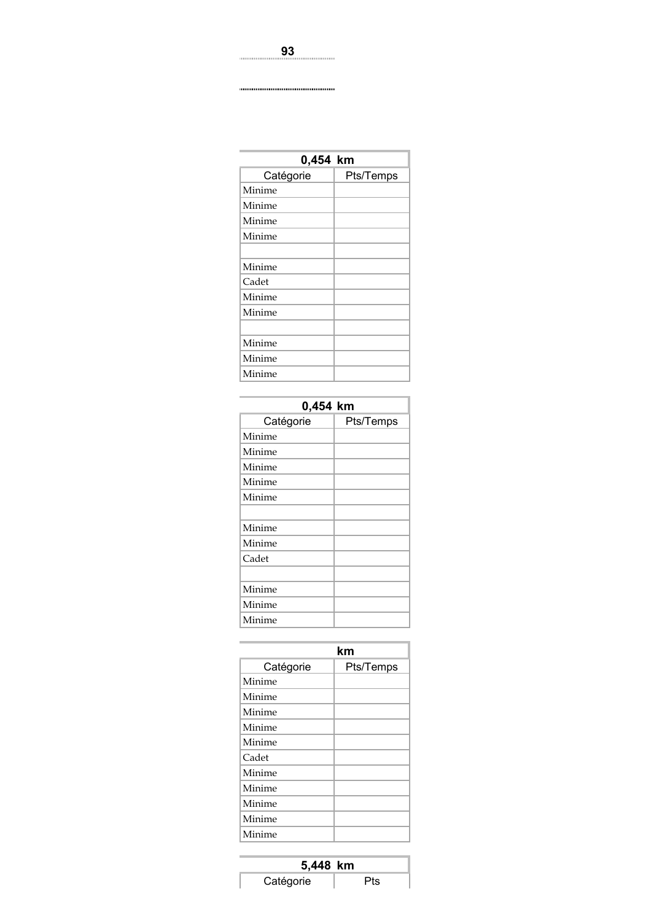| 0,454 km  |           |  |  |  |
|-----------|-----------|--|--|--|
| Catégorie | Pts/Temps |  |  |  |
| Minime    |           |  |  |  |
| Minime    |           |  |  |  |
| Minime    |           |  |  |  |
| Minime    |           |  |  |  |
|           |           |  |  |  |
| Minime    |           |  |  |  |
| Cadet     |           |  |  |  |
| Minime    |           |  |  |  |
| Minime    |           |  |  |  |
|           |           |  |  |  |
| Minime    |           |  |  |  |
| Minime    |           |  |  |  |
| Minime    |           |  |  |  |

| 0,454 km  |           |  |  |  |  |
|-----------|-----------|--|--|--|--|
| Catégorie | Pts/Temps |  |  |  |  |
| Minime    |           |  |  |  |  |
| Minime    |           |  |  |  |  |
| Minime    |           |  |  |  |  |
| Minime    |           |  |  |  |  |
| Minime    |           |  |  |  |  |
|           |           |  |  |  |  |
| Minime    |           |  |  |  |  |
| Minime    |           |  |  |  |  |
| Cadet     |           |  |  |  |  |
|           |           |  |  |  |  |
| Minime    |           |  |  |  |  |
| Minime    |           |  |  |  |  |
| Minime    |           |  |  |  |  |

|           | km        |
|-----------|-----------|
| Catégorie | Pts/Temps |
| Minime    |           |
| Minime    |           |
| Minime    |           |
| Minime    |           |
| Minime    |           |
| Cadet     |           |
| Minime    |           |
| Minime    |           |
| Minime    |           |
| Minime    |           |
| Minime    |           |

| 5,448 km  |     |  |
|-----------|-----|--|
| Catégorie | Pts |  |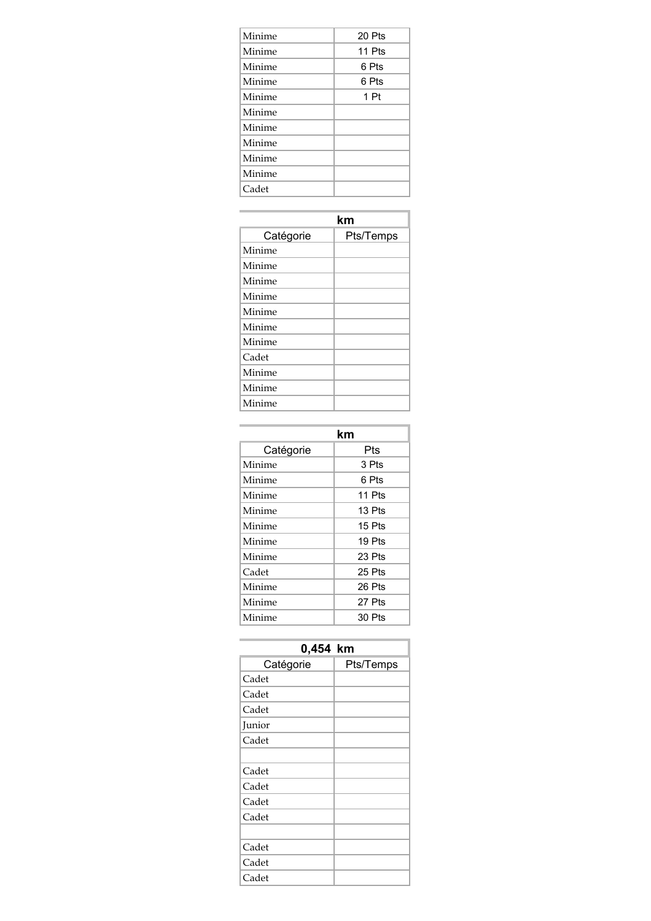| Minime | 20 Pts |
|--------|--------|
| Minime | 11 Pts |
| Minime | 6 Pts  |
| Minime | 6 Pts  |
| Minime | 1 Pt   |
| Minime |        |
| Minime |        |
| Minime |        |
| Minime |        |
| Minime |        |
| Cadet  |        |

|           | km        |
|-----------|-----------|
| Catégorie | Pts/Temps |
| Minime    |           |
| Minime    |           |
| Minime    |           |
| Minime    |           |
| Minime    |           |
| Minime    |           |
| Minime    |           |
| Cadet     |           |
| Minime    |           |
| Minime    |           |
| Minime    |           |

|           | km       |
|-----------|----------|
| Catégorie | Pts      |
| Minime    | 3 Pts    |
| Minime    | 6 Pts    |
| Minime    | 11 Pts   |
| Minime    | $13P$ ts |
| Minime    | $15P$ ts |
| Minime    | 19 Pts   |
| Minime    | 23 Pts   |
| Cadet     | 25 Pts   |
| Minime    | 26 Pts   |
| Minime    | 27 Pts   |
| Minime    | 30 Pts   |

| 0,454 km  |           |  |
|-----------|-----------|--|
| Catégorie | Pts/Temps |  |
| Cadet     |           |  |
| Cadet     |           |  |
| Cadet     |           |  |
| Junior    |           |  |
| Cadet     |           |  |
|           |           |  |
| Cadet     |           |  |
| Cadet     |           |  |
| Cadet     |           |  |
| Cadet     |           |  |
|           |           |  |
| Cadet     |           |  |
| Cadet     |           |  |
| Cadet     |           |  |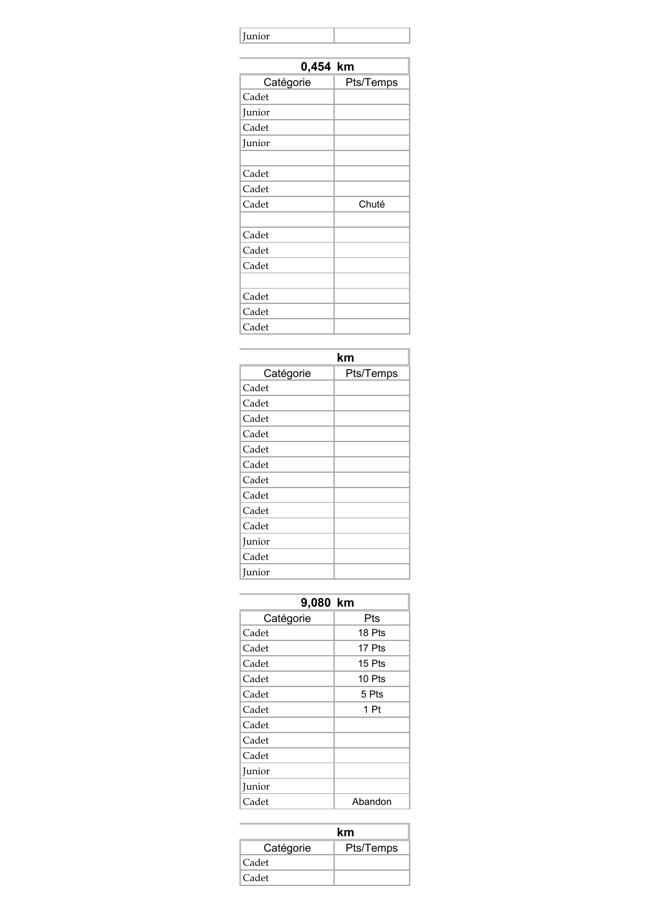| Junior |  |
|--------|--|
|        |  |

| 0,454 km  |           |  |
|-----------|-----------|--|
| Catégorie | Pts/Temps |  |
| Cadet     |           |  |
| Junior    |           |  |
| Cadet     |           |  |
| Junior    |           |  |
|           |           |  |
| Cadet     |           |  |
| Cadet     |           |  |
| Cadet     | Chuté     |  |
|           |           |  |
| Cadet     |           |  |
| Cadet     |           |  |
| Cadet     |           |  |
|           |           |  |
| Cadet     |           |  |
| Cadet     |           |  |
| Cadet     |           |  |

|           | km        |
|-----------|-----------|
| Catégorie | Pts/Temps |
| Cadet     |           |
| Cadet     |           |
| Cadet     |           |
| Cadet     |           |
| Cadet     |           |
| Cadet     |           |
| Cadet     |           |
| Cadet     |           |
| Cadet     |           |
| Cadet     |           |
| Junior    |           |
| Cadet     |           |
| Junior    |           |

| 9,080 km  |         |  |
|-----------|---------|--|
| Catégorie | Pts     |  |
| Cadet     | 18 Pts  |  |
| Cadet     | 17 Pts  |  |
| Cadet     | 15 Pts  |  |
| Cadet     | 10 Pts  |  |
| Cadet     | 5 Pts   |  |
| Cadet     | 1 Pt    |  |
| Cadet     |         |  |
| Cadet     |         |  |
| Cadet     |         |  |
| Junior    |         |  |
| Junior    |         |  |
| Cadet     | Abandon |  |

|           | km        |
|-----------|-----------|
| Catégorie | Pts/Temps |
| Cadet     |           |
| Cadet     |           |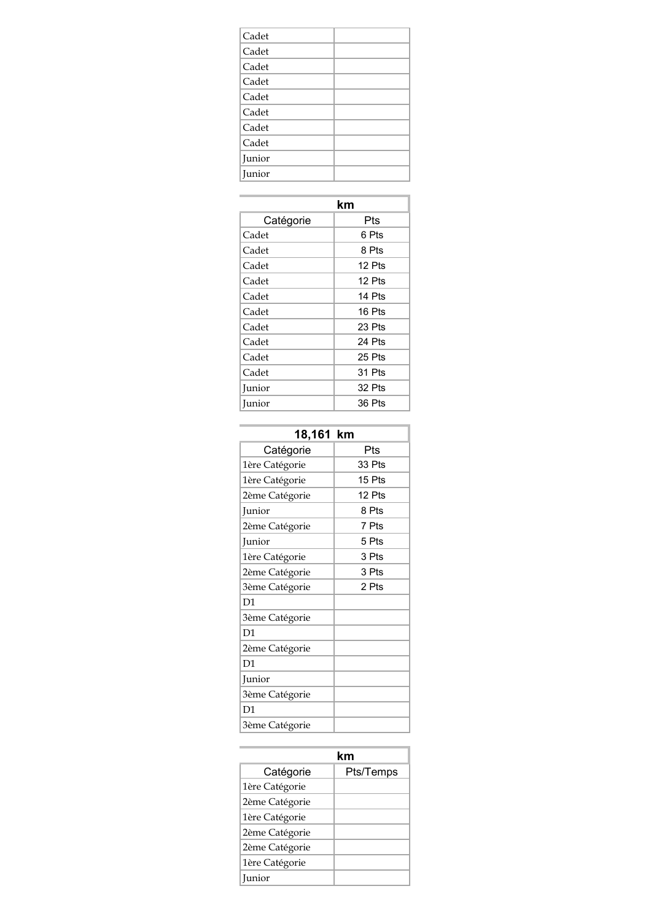| km        |          |
|-----------|----------|
| Catégorie | Pts      |
| Cadet     | 6 Pts    |
| Cadet     | 8 Pts    |
| Cadet     | 12 Pts   |
| Cadet     | 12 Pts   |
| Cadet     | 14 Pts   |
| Cadet     | 16 Pts   |
| Cadet     | 23 Pts   |
| Cadet     | 24 Pts   |
| Cadet     | 25 Pts   |
| Cadet     | 31 Pts   |
| Junior    | $32P$ ts |
| Junior    | 36 Pts   |

| 18,161 km      |        |
|----------------|--------|
| Catégorie      | Pts    |
| 1ère Catégorie | 33 Pts |
| 1ère Catégorie | 15 Pts |
| 2ème Catégorie | 12 Pts |
| Junior         | 8 Pts  |
| 2ème Catégorie | 7 Pts  |
| Junior         | 5 Pts  |
| 1ère Catégorie | 3 Pts  |
| 2ème Catégorie | 3 Pts  |
| 3ème Catégorie | 2 Pts  |
| D1             |        |
| 3ème Catégorie |        |
| D1             |        |
| 2ème Catégorie |        |
| D <sub>1</sub> |        |
| Junior         |        |
| 3ème Catégorie |        |
| D1             |        |
| 3ème Catégorie |        |

| km             |           |
|----------------|-----------|
| Catégorie      | Pts/Temps |
| 1ère Catégorie |           |
| 2ème Catégorie |           |
| 1ère Catégorie |           |
| 2ème Catégorie |           |
| 2ème Catégorie |           |
| 1ère Catégorie |           |
| <b>Iunior</b>  |           |